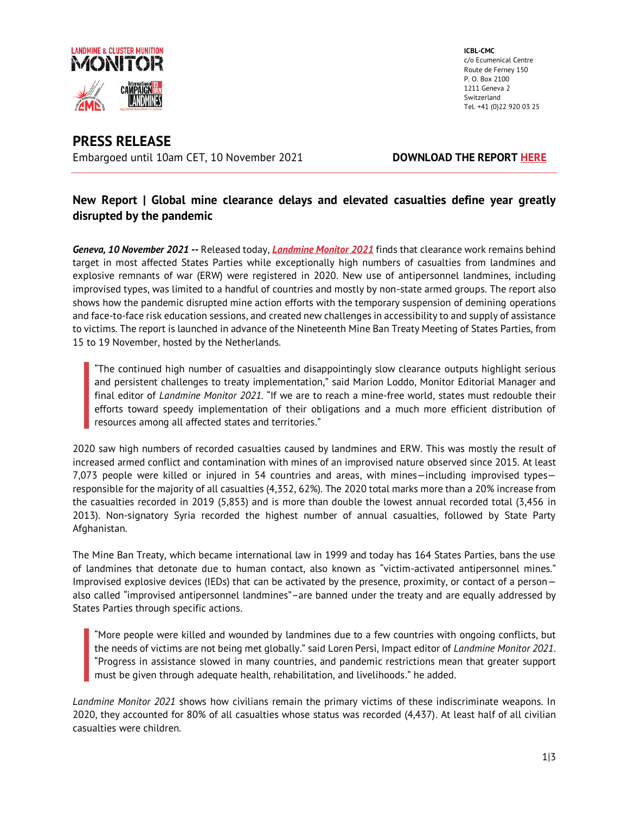

**ICBL-CMC**  c/o Ecumenical Centre Route de Ferney 150 P. O. Box 2100 1211 Geneva 2 Switzerland Tel. +41 (0)22 920 03 25

# **PRESS RELEASE** Embargoed until 10am CET, 10 November 2021 **DOWNLOAD THE REPORT [HERE](http://www.the-monitor.org/en-gb/reports/2021/landmine-monitor-2021.aspx)**

## **New Report | Global mine clearance delays and elevated casualties define year greatly disrupted by the pandemic**

*Geneva, 10 November 2021* **--** Released today, *[Landmine Monitor 2021](http://www.the-monitor.org/en-gb/reports/2021/landmine-monitor-2021.aspx)* finds that clearance work remains behind target in most affected States Parties while exceptionally high numbers of casualties from landmines and explosive remnants of war (ERW) were registered in 2020. New use of antipersonnel landmines, including improvised types, was limited to a handful of countries and mostly by non-state armed groups. The report also shows how the pandemic disrupted mine action efforts with the temporary suspension of demining operations and face-to-face risk education sessions, and created new challenges in accessibility to and supply of assistance to victims. The report is launched in advance of the Nineteenth Mine Ban Treaty Meeting of States Parties, from 15 to 19 November, hosted by the Netherlands.

"The continued high number of casualties and disappointingly slow clearance outputs highlight serious and persistent challenges to treaty implementation," said Marion Loddo, Monitor Editorial Manager and final editor of *Landmine Monitor 2021*. "If we are to reach a mine-free world, states must redouble their efforts toward speedy implementation of their obligations and a much more efficient distribution of resources among all affected states and territories."

2020 saw high numbers of recorded casualties caused by landmines and ERW. This was mostly the result of increased armed conflict and contamination with mines of an improvised nature observed since 2015. At least 7,073 people were killed or injured in 54 countries and areas, with mines—including improvised types responsible for the majority of all casualties (4,352, 62%). The 2020 total marks more than a 20% increase from the casualties recorded in 2019 (5,853) and is more than double the lowest annual recorded total (3,456 in 2013). Non-signatory Syria recorded the highest number of annual casualties, followed by State Party Afghanistan.

The Mine Ban Treaty, which became international law in 1999 and today has 164 States Parties, bans the use of landmines that detonate due to human contact, also known as "victim-activated antipersonnel mines." Improvised explosive devices (IEDs) that can be activated by the presence, proximity, or contact of a person also called "improvised antipersonnel landmines"–are banned under the treaty and are equally addressed by States Parties through specific actions.

"More people were killed and wounded by landmines due to a few countries with ongoing conflicts, but the needs of victims are not being met globally." said Loren Persi, Impact editor of *Landmine Monitor 2021*. "Progress in assistance slowed in many countries, and pandemic restrictions mean that greater support must be given through adequate health, rehabilitation, and livelihoods." he added.

*Landmine Monitor 2021* shows how civilians remain the primary victims of these indiscriminate weapons. In 2020, they accounted for 80% of all casualties whose status was recorded (4,437). At least half of all civilian casualties were children.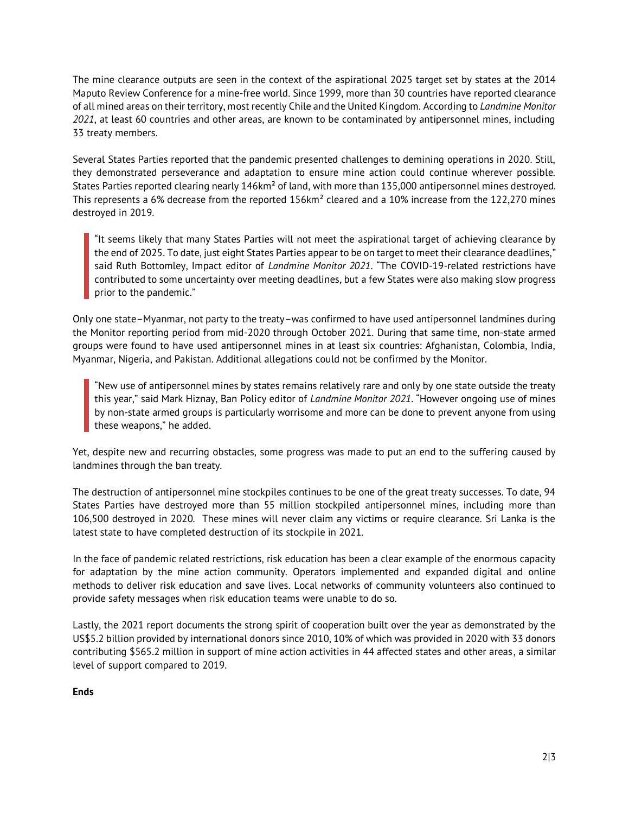The mine clearance outputs are seen in the context of the aspirational 2025 target set by states at the 2014 Maputo Review Conference for a mine-free world. Since 1999, more than 30 countries have reported clearance of all mined areas on their territory, most recently Chile and the United Kingdom. According to *Landmine Monitor 2021*, at least 60 countries and other areas, are known to be contaminated by antipersonnel mines, including 33 treaty members.

Several States Parties reported that the pandemic presented challenges to demining operations in 2020. Still, they demonstrated perseverance and adaptation to ensure mine action could continue wherever possible. States Parties reported clearing nearly 146km² of land, with more than 135,000 antipersonnel mines destroyed. This represents a 6% decrease from the reported 156km<sup>2</sup> cleared and a 10% increase from the 122,270 mines destroyed in 2019.

"It seems likely that many States Parties will not meet the aspirational target of achieving clearance by the end of 2025. To date, just eight States Parties appear to be on target to meet their clearance deadlines," said Ruth Bottomley, Impact editor of *Landmine Monitor 2021*. "The COVID-19-related restrictions have contributed to some uncertainty over meeting deadlines, but a few States were also making slow progress prior to the pandemic."

Only one state–Myanmar, not party to the treaty–was confirmed to have used antipersonnel landmines during the Monitor reporting period from mid-2020 through October 2021. During that same time, non-state armed groups were found to have used antipersonnel mines in at least six countries: Afghanistan, Colombia, India, Myanmar, Nigeria, and Pakistan. Additional allegations could not be confirmed by the Monitor.

"New use of antipersonnel mines by states remains relatively rare and only by one state outside the treaty this year," said Mark Hiznay, Ban Policy editor of *Landmine Monitor 2021*. "However ongoing use of mines by non-state armed groups is particularly worrisome and more can be done to prevent anyone from using these weapons," he added.

Yet, despite new and recurring obstacles, some progress was made to put an end to the suffering caused by landmines through the ban treaty.

The destruction of antipersonnel mine stockpiles continues to be one of the great treaty successes. To date, 94 States Parties have destroyed more than 55 million stockpiled antipersonnel mines, including more than 106,500 destroyed in 2020. These mines will never claim any victims or require clearance. Sri Lanka is the latest state to have completed destruction of its stockpile in 2021.

In the face of pandemic related restrictions, risk education has been a clear example of the enormous capacity for adaptation by the mine action community. Operators implemented and expanded digital and online methods to deliver risk education and save lives. Local networks of community volunteers also continued to provide safety messages when risk education teams were unable to do so.

Lastly, the 2021 report documents the strong spirit of cooperation built over the year as demonstrated by the US\$5.2 billion provided by international donors since 2010, 10% of which was provided in 2020 with 33 donors contributing \$565.2 million in support of mine action activities in 44 affected states and other areas, a similar level of support compared to 2019.

**Ends**